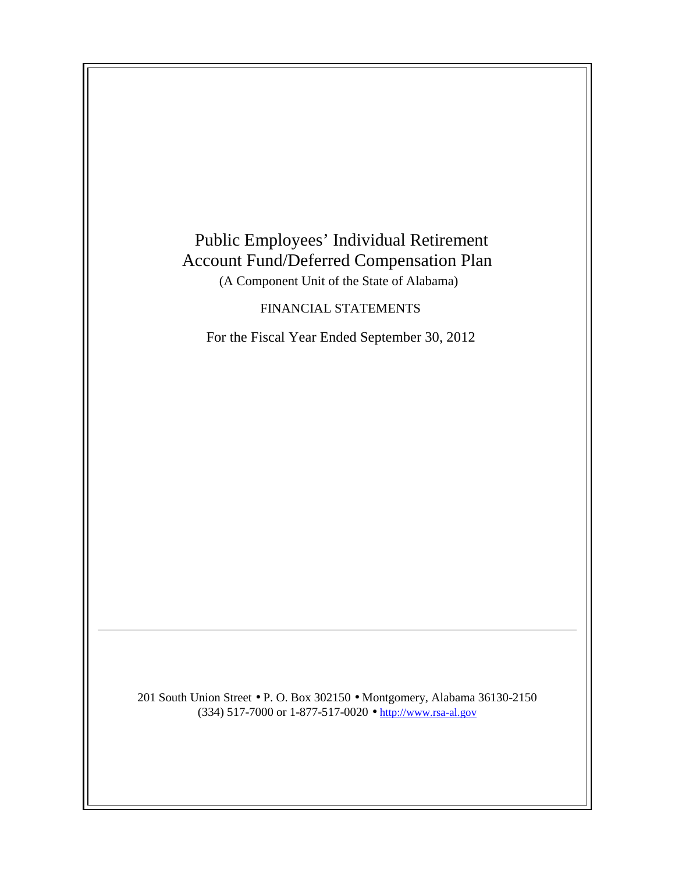

(334) 517-7000 or 1-877-517-0020 • http://www.rsa-al.gov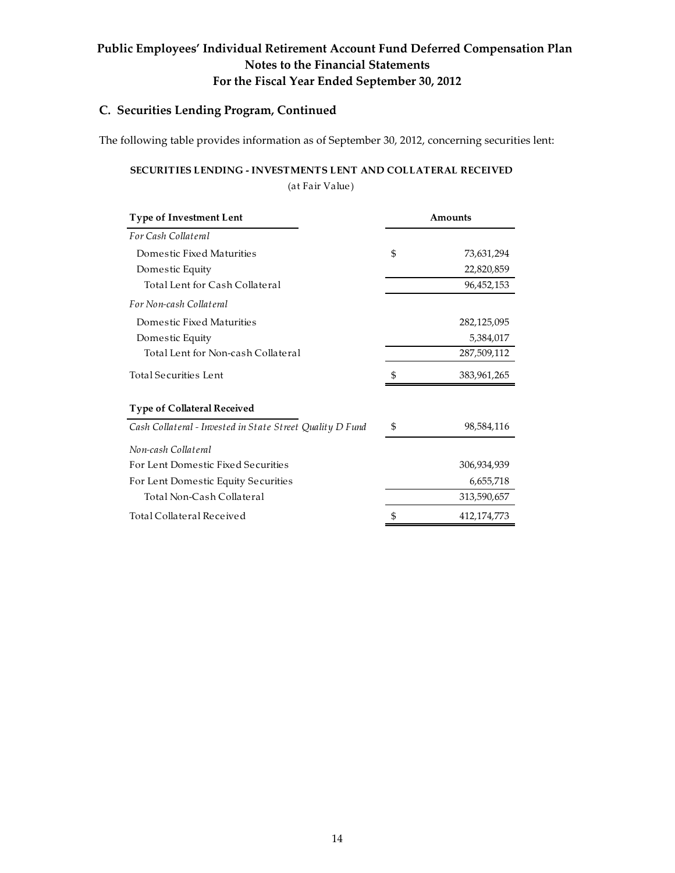# Public Employees' Individual Retirement Account Fund Deferred Compensation Plan Notes to the Financial Statements For the Fiscal Year Ended September 30, 2012

### C. Securities Lending Program, Continued

The following table provides information as of September 30, 2012, concerning securities lent:

## SECURITIES LENDING - INVESTMENTS LENT AND COLLATERAL RECEIVED

(at Fair Value)

| <b>Type of Investment Lent</b>                            | Amounts |             |
|-----------------------------------------------------------|---------|-------------|
| For Cash Collateral                                       |         |             |
| Domestic Fixed Maturities                                 | \$      | 73,631,294  |
| Domestic Equity                                           |         | 22,820,859  |
| Total Lent for Cash Collateral                            |         | 96,452,153  |
| For Non-cash Collateral                                   |         |             |
| Domestic Fixed Maturities                                 |         | 282,125,095 |
| Domestic Equity                                           |         | 5,384,017   |
| Total Lent for Non-cash Collateral                        |         | 287,509,112 |
| Total Securities Lent                                     | \$      | 383,961,265 |
| <b>Type of Collateral Received</b>                        |         |             |
| Cash Collateral - Invested in State Street Quality D Fund | \$      | 98,584,116  |
| Non-cash Collateral                                       |         |             |
| For Lent Domestic Fixed Securities                        |         | 306,934,939 |
| For Lent Domestic Equity Securities                       |         | 6,655,718   |
| Total Non-Cash Collateral                                 |         | 313,590,657 |
| Total Collateral Received                                 | \$      | 412,174,773 |